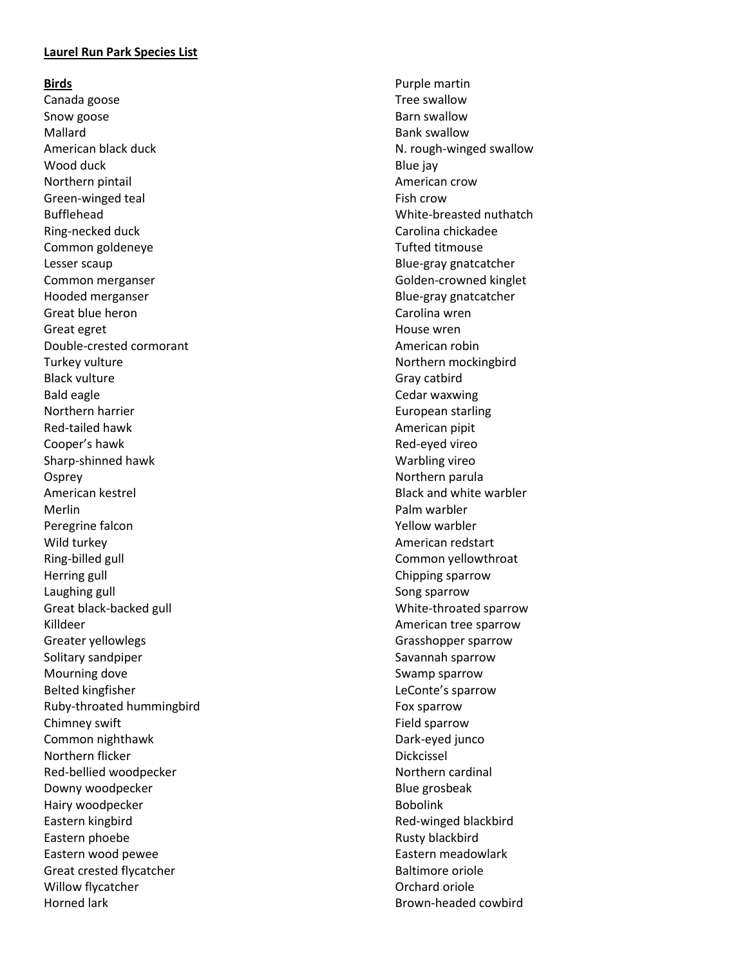### **Laurel Run Park Species List**

#### **Bird s**

Canada goos e Snow goose Mallard American black duck Wood duck Northern pintail Green -winged teal Bufflehead Ring -necked duck Common goldeneye Lesser scaup Common merganser Hooded merganser Great blue heron Great egret Double -crested cormorant Turkey vulture Black vulture Bald eagle Northern harrier Red -tailed hawk Cooper's hawk Sharp -shinned hawk **Osprey** American kestrel Merlin Peregrine falcon Wild turkey Ring -billed gull Herring gull Laughing gull Great black -backed gull Killdeer Greater yellowlegs Solitary sandpiper Mourning dove Belted kingfisher Ruby -throated hummingbird Chimney swift Common nighthawk Northern flicker Red -bellied woodpecker Downy woodpecker Hairy woodpecker Eastern kingbird Eastern phoebe Eastern wood pewee Great crested flycatcher Willow flycatcher Horned lark

Purple martin Tree swallow Barn swallow Bank swallow N. rough -winged swallow Blue jay American crow Fish crow White -breasted nuthatch Carolina chickadee Tufted titmouse Blue -gray gnatcatcher Golden -crowned kinglet Blue -gray gnatcatcher Carolina wren House wren American robin Northern mockingbird Gray catbird Cedar waxwing European starling American pipit Red -eyed vireo Warbling vireo Northern parula Black and white warbler Palm warbler Yellow warbler American redstart Common yellowthroat Chipping sparrow Song sparrow White -throated sparrow American tree sparrow Grasshopper sparrow Savannah sparrow Swamp sparrow LeConte's sparrow Fox sparrow Field sparrow Dark -eyed junco Dickcissel Northern cardinal Blue grosbeak Bobolink Red -winged blackbird Rusty blackbird Eastern meadowlark Baltimore oriole Orchard oriole Brown -headed cowbird